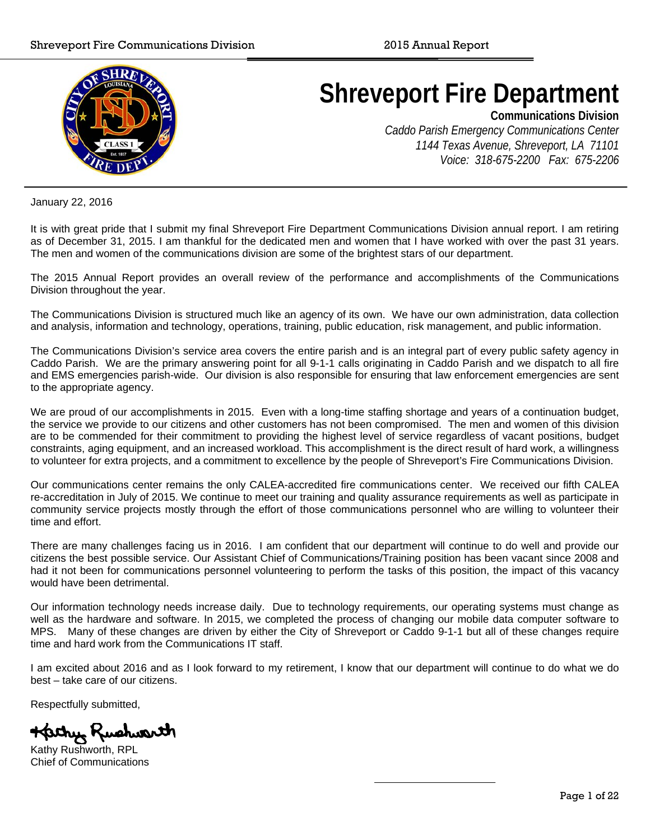

# **Shreveport Fire Department**

**Communications Division** 

*Caddo Parish Emergency Communications Center 1144 Texas Avenue, Shreveport, LA 71101 Voice: 318-675-2200 Fax: 675-2206* 

January 22, 2016

It is with great pride that I submit my final Shreveport Fire Department Communications Division annual report. I am retiring as of December 31, 2015. I am thankful for the dedicated men and women that I have worked with over the past 31 years. The men and women of the communications division are some of the brightest stars of our department.

The 2015 Annual Report provides an overall review of the performance and accomplishments of the Communications Division throughout the year.

The Communications Division is structured much like an agency of its own. We have our own administration, data collection and analysis, information and technology, operations, training, public education, risk management, and public information.

The Communications Division's service area covers the entire parish and is an integral part of every public safety agency in Caddo Parish. We are the primary answering point for all 9-1-1 calls originating in Caddo Parish and we dispatch to all fire and EMS emergencies parish-wide. Our division is also responsible for ensuring that law enforcement emergencies are sent to the appropriate agency.

We are proud of our accomplishments in 2015. Even with a long-time staffing shortage and years of a continuation budget, the service we provide to our citizens and other customers has not been compromised. The men and women of this division are to be commended for their commitment to providing the highest level of service regardless of vacant positions, budget constraints, aging equipment, and an increased workload. This accomplishment is the direct result of hard work, a willingness to volunteer for extra projects, and a commitment to excellence by the people of Shreveport's Fire Communications Division.

Our communications center remains the only CALEA-accredited fire communications center. We received our fifth CALEA re-accreditation in July of 2015. We continue to meet our training and quality assurance requirements as well as participate in community service projects mostly through the effort of those communications personnel who are willing to volunteer their time and effort.

There are many challenges facing us in 2016. I am confident that our department will continue to do well and provide our citizens the best possible service. Our Assistant Chief of Communications/Training position has been vacant since 2008 and had it not been for communications personnel volunteering to perform the tasks of this position, the impact of this vacancy would have been detrimental.

Our information technology needs increase daily. Due to technology requirements, our operating systems must change as well as the hardware and software. In 2015, we completed the process of changing our mobile data computer software to MPS. Many of these changes are driven by either the City of Shreveport or Caddo 9-1-1 but all of these changes require time and hard work from the Communications IT staff.

I am excited about 2016 and as I look forward to my retirement, I know that our department will continue to do what we do best – take care of our citizens.

Respectfully submitted,

Katry Rushwarth

Kathy Rushworth, RPL Chief of Communications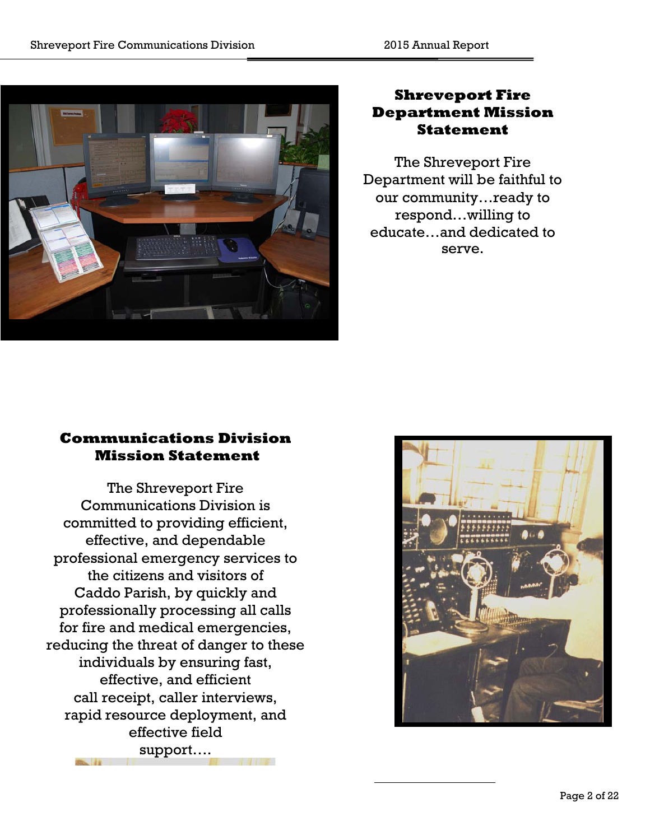

# **Shreveport Fire Department Mission Statement**

The Shreveport Fire Department will be faithful to our community…ready to respond…willing to educate…and dedicated to serve.

# **Communications Division Mission Statement**

The Shreveport Fire Communications Division is committed to providing efficient, effective, and dependable professional emergency services to the citizens and visitors of Caddo Parish, by quickly and professionally processing all calls for fire and medical emergencies, reducing the threat of danger to these individuals by ensuring fast, effective, and efficient call receipt, caller interviews, rapid resource deployment, and effective field support….

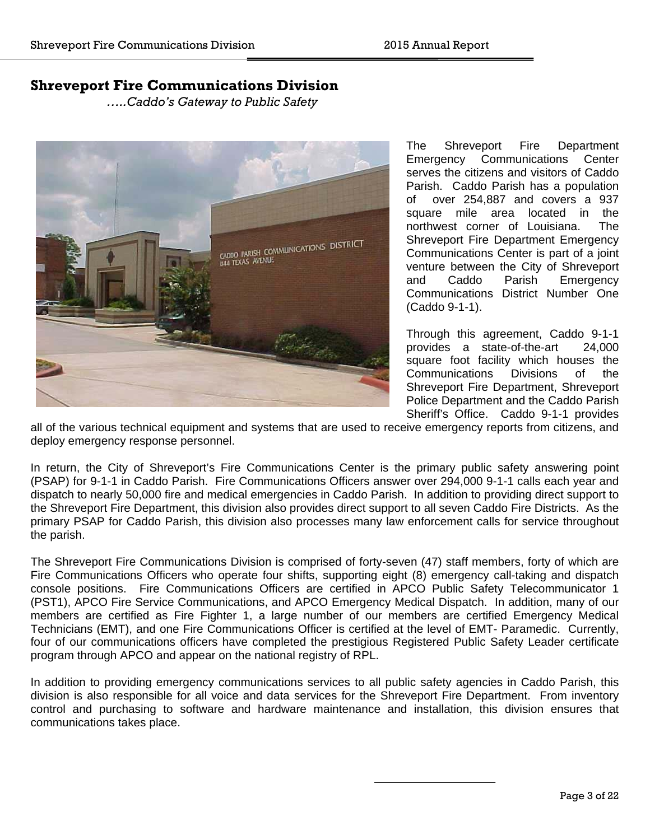## **Shreveport Fire Communications Division**

*…..Caddo's Gateway to Public Safety* 



The Shreveport Fire Department Emergency Communications Center serves the citizens and visitors of Caddo Parish. Caddo Parish has a population of over 254,887 and covers a 937 square mile area located in the northwest corner of Louisiana. The Shreveport Fire Department Emergency Communications Center is part of a joint venture between the City of Shreveport<br>and Caddo Parish Emergency and Caddo Parish Emergency Communications District Number One (Caddo 9-1-1).

Through this agreement, Caddo 9-1-1 provides a state-of-the-art 24,000 square foot facility which houses the Communications Divisions of the Shreveport Fire Department, Shreveport Police Department and the Caddo Parish Sheriff's Office. Caddo 9-1-1 provides

all of the various technical equipment and systems that are used to receive emergency reports from citizens, and deploy emergency response personnel.

In return, the City of Shreveport's Fire Communications Center is the primary public safety answering point (PSAP) for 9-1-1 in Caddo Parish. Fire Communications Officers answer over 294,000 9-1-1 calls each year and dispatch to nearly 50,000 fire and medical emergencies in Caddo Parish. In addition to providing direct support to the Shreveport Fire Department, this division also provides direct support to all seven Caddo Fire Districts. As the primary PSAP for Caddo Parish, this division also processes many law enforcement calls for service throughout the parish.

The Shreveport Fire Communications Division is comprised of forty-seven (47) staff members, forty of which are Fire Communications Officers who operate four shifts, supporting eight (8) emergency call-taking and dispatch console positions. Fire Communications Officers are certified in APCO Public Safety Telecommunicator 1 (PST1), APCO Fire Service Communications, and APCO Emergency Medical Dispatch. In addition, many of our members are certified as Fire Fighter 1, a large number of our members are certified Emergency Medical Technicians (EMT), and one Fire Communications Officer is certified at the level of EMT- Paramedic. Currently, four of our communications officers have completed the prestigious Registered Public Safety Leader certificate program through APCO and appear on the national registry of RPL.

In addition to providing emergency communications services to all public safety agencies in Caddo Parish, this division is also responsible for all voice and data services for the Shreveport Fire Department. From inventory control and purchasing to software and hardware maintenance and installation, this division ensures that communications takes place.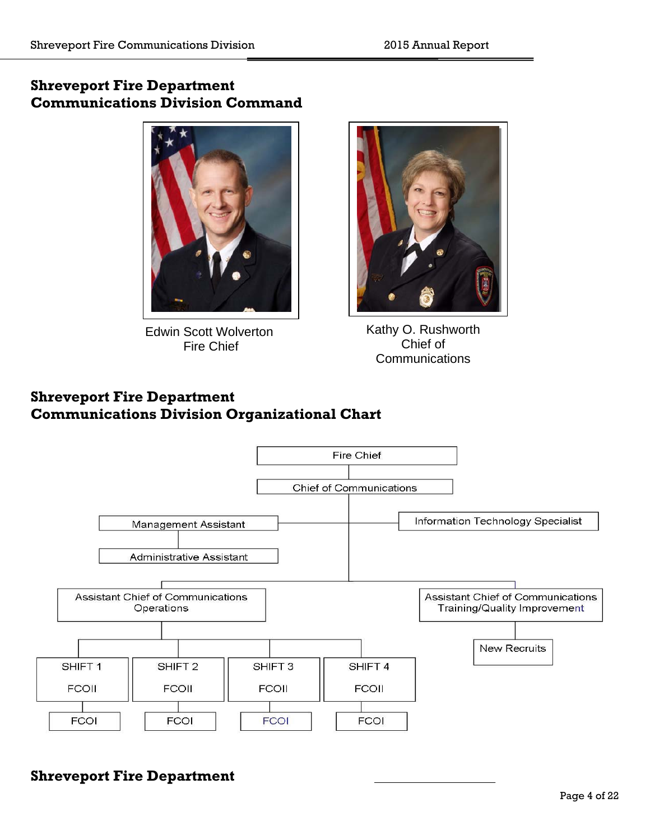# **Shreveport Fire Department Communications Division Command**



**Edwin Scott Wolverton** Fire Chief



Kathy O. Rushworth Chief of **Communications** 

# **Shreveport Fire Department Communications Division Organizational Chart**



# **Shreveport Fire Department**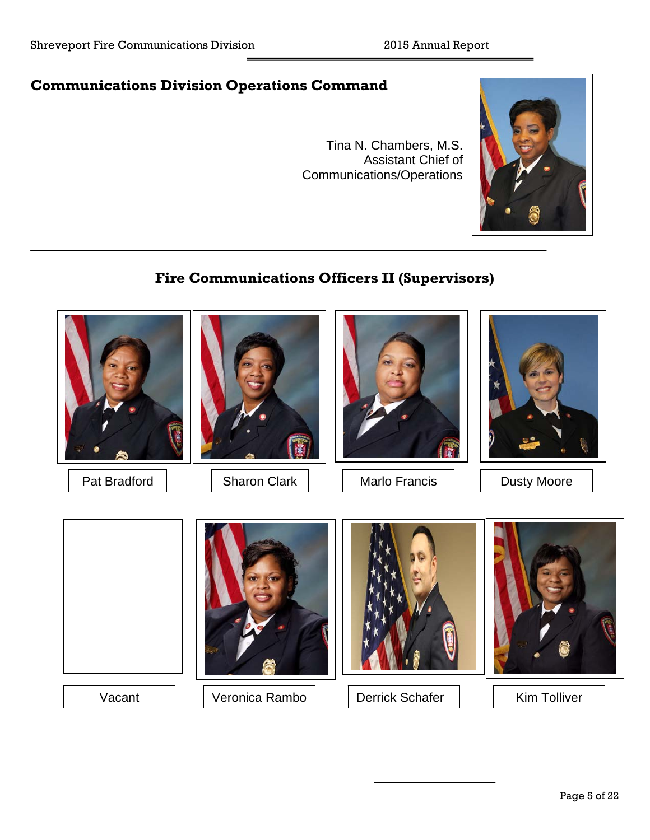# **Communications Division Operations Command**

Tina N. Chambers, M.S. Assistant Chief of Communications/Operations



# **Fire Communications Officers II (Supervisors)**

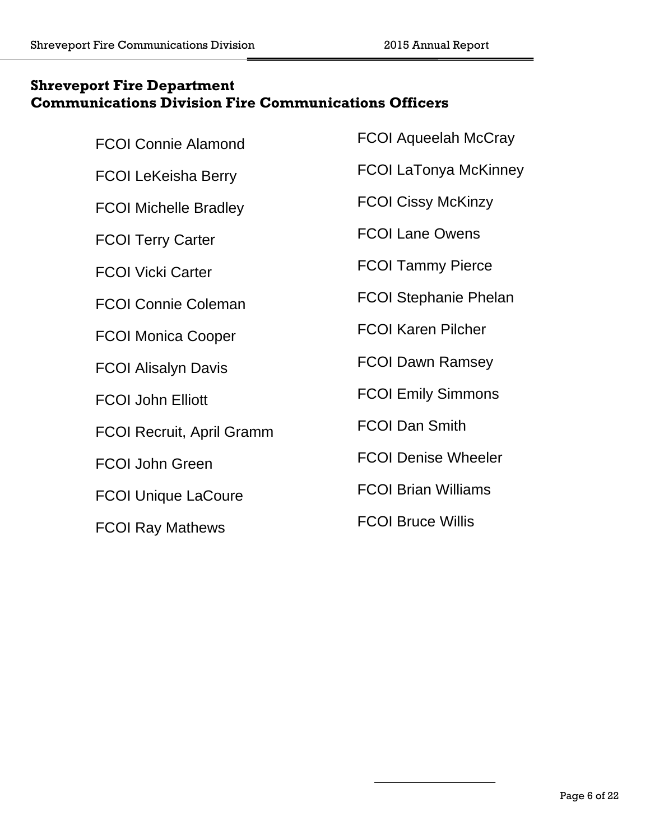# **Shreveport Fire Department Communications Division Fire Communications Officers**

| <b>FCOI Connie Alamond</b>       | <b>FCOI Aqueelah McCray</b>  |
|----------------------------------|------------------------------|
| <b>FCOI LeKeisha Berry</b>       | <b>FCOI LaTonya McKinney</b> |
| <b>FCOI Michelle Bradley</b>     | <b>FCOI Cissy McKinzy</b>    |
| <b>FCOI Terry Carter</b>         | <b>FCOI Lane Owens</b>       |
| <b>FCOI Vicki Carter</b>         | <b>FCOI Tammy Pierce</b>     |
| <b>FCOI Connie Coleman</b>       | <b>FCOI Stephanie Phelan</b> |
| <b>FCOI Monica Cooper</b>        | <b>FCOI Karen Pilcher</b>    |
| <b>FCOI Alisalyn Davis</b>       | <b>FCOI Dawn Ramsey</b>      |
| <b>FCOI John Elliott</b>         | <b>FCOI Emily Simmons</b>    |
| <b>FCOI Recruit, April Gramm</b> | <b>FCOI Dan Smith</b>        |
| <b>FCOI John Green</b>           | <b>FCOI Denise Wheeler</b>   |
| <b>FCOI Unique LaCoure</b>       | <b>FCOI Brian Williams</b>   |
| <b>FCOI Ray Mathews</b>          | <b>FCOI Bruce Willis</b>     |
|                                  |                              |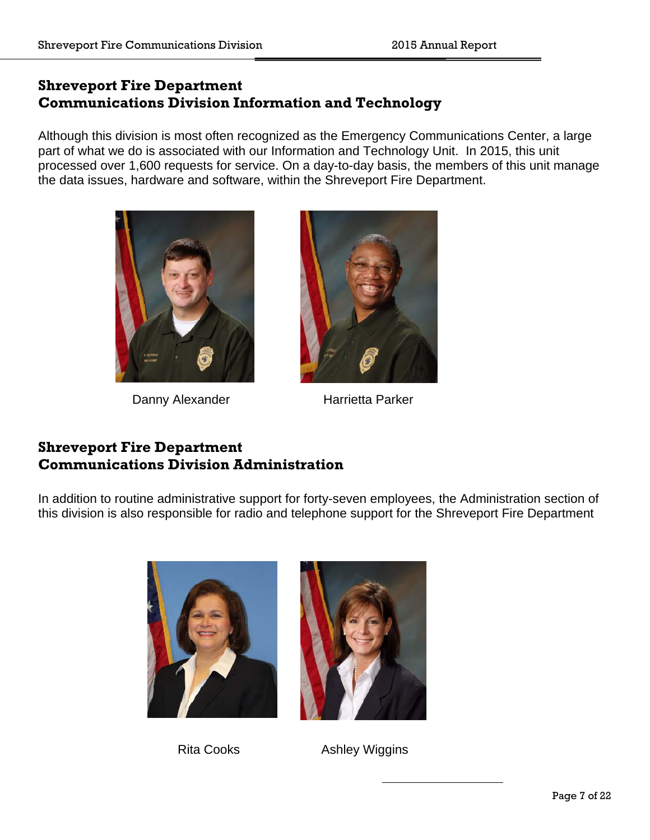# **Shreveport Fire Department Communications Division Information and Technology**

Although this division is most often recognized as the Emergency Communications Center, a large part of what we do is associated with our Information and Technology Unit. In 2015, this unit processed over 1,600 requests for service. On a day-to-day basis, the members of this unit manage the data issues, hardware and software, within the Shreveport Fire Department.



Danny Alexander Harrietta Parker



# **Shreveport Fire Department Communications Division Administration**

In addition to routine administrative support for forty-seven employees, the Administration section of this division is also responsible for radio and telephone support for the Shreveport Fire Department





Rita Cooks **Ashley Wiggins**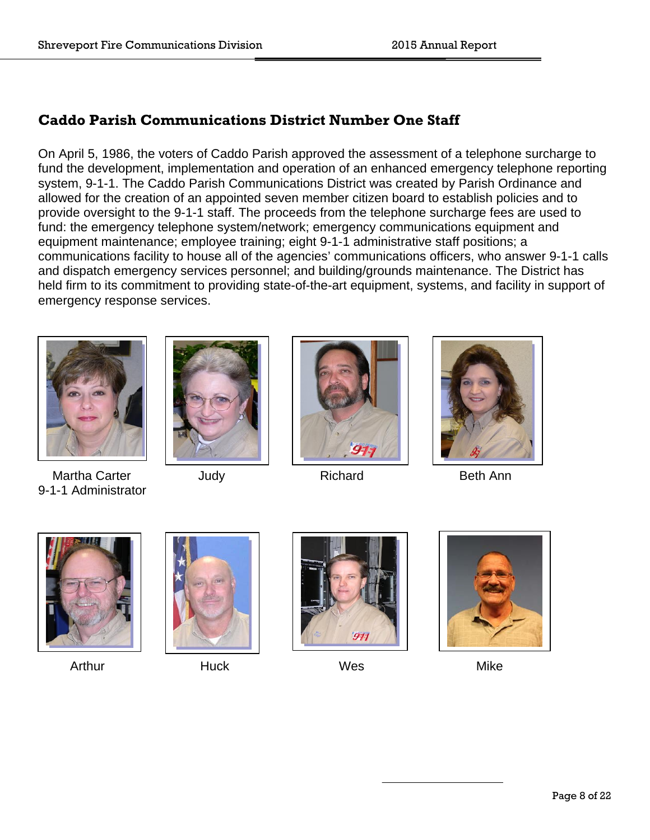# **Caddo Parish Communications District Number One Staff**

On April 5, 1986, the voters of Caddo Parish approved the assessment of a telephone surcharge to fund the development, implementation and operation of an enhanced emergency telephone reporting system, 9-1-1. The Caddo Parish Communications District was created by Parish Ordinance and allowed for the creation of an appointed seven member citizen board to establish policies and to provide oversight to the 9-1-1 staff. The proceeds from the telephone surcharge fees are used to fund: the emergency telephone system/network; emergency communications equipment and equipment maintenance; employee training; eight 9-1-1 administrative staff positions; a communications facility to house all of the agencies' communications officers, who answer 9-1-1 calls and dispatch emergency services personnel; and building/grounds maintenance. The District has held firm to its commitment to providing state-of-the-art equipment, systems, and facility in support of emergency response services.



Martha Carter **Carter** Judy **Carter Beth Ann** 9-1-1 Administrator











Arthur Mike Huck Wes Mike



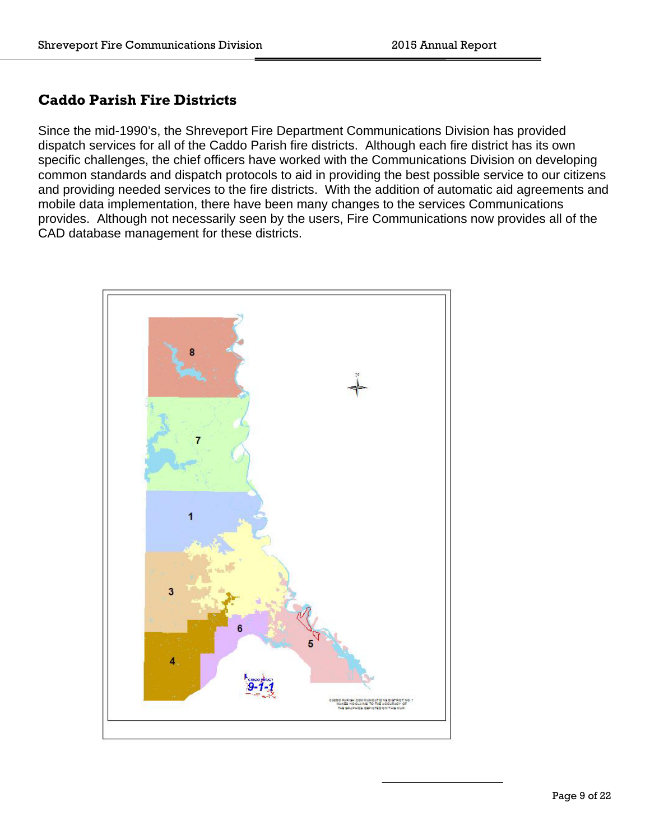# **Caddo Parish Fire Districts**

Since the mid-1990's, the Shreveport Fire Department Communications Division has provided dispatch services for all of the Caddo Parish fire districts. Although each fire district has its own specific challenges, the chief officers have worked with the Communications Division on developing common standards and dispatch protocols to aid in providing the best possible service to our citizens and providing needed services to the fire districts. With the addition of automatic aid agreements and mobile data implementation, there have been many changes to the services Communications provides. Although not necessarily seen by the users, Fire Communications now provides all of the CAD database management for these districts.

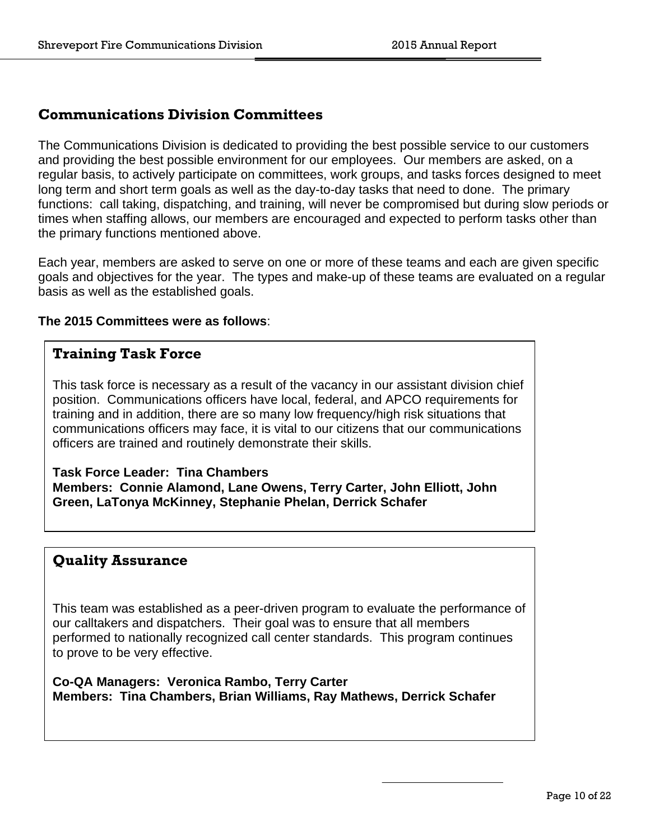#### **Communications Division Committees**

The Communications Division is dedicated to providing the best possible service to our customers and providing the best possible environment for our employees. Our members are asked, on a regular basis, to actively participate on committees, work groups, and tasks forces designed to meet long term and short term goals as well as the day-to-day tasks that need to done. The primary functions: call taking, dispatching, and training, will never be compromised but during slow periods or times when staffing allows, our members are encouraged and expected to perform tasks other than the primary functions mentioned above.

Each year, members are asked to serve on one or more of these teams and each are given specific goals and objectives for the year. The types and make-up of these teams are evaluated on a regular basis as well as the established goals.

#### **The 2015 Committees were as follows**:

#### **Training Task Force**

This task force is necessary as a result of the vacancy in our assistant division chief position. Communications officers have local, federal, and APCO requirements for training and in addition, there are so many low frequency/high risk situations that communications officers may face, it is vital to our citizens that our communications officers are trained and routinely demonstrate their skills.

**Task Force Leader: Tina Chambers Members: Connie Alamond, Lane Owens, Terry Carter, John Elliott, John Green, LaTonya McKinney, Stephanie Phelan, Derrick Schafer** 

#### **Quality Assurance**

This team was established as a peer-driven program to evaluate the performance of our calltakers and dispatchers. Their goal was to ensure that all members performed to nationally recognized call center standards. This program continues to prove to be very effective.

**Co-QA Managers: Veronica Rambo, Terry Carter Members: Tina Chambers, Brian Williams, Ray Mathews, Derrick Schafer**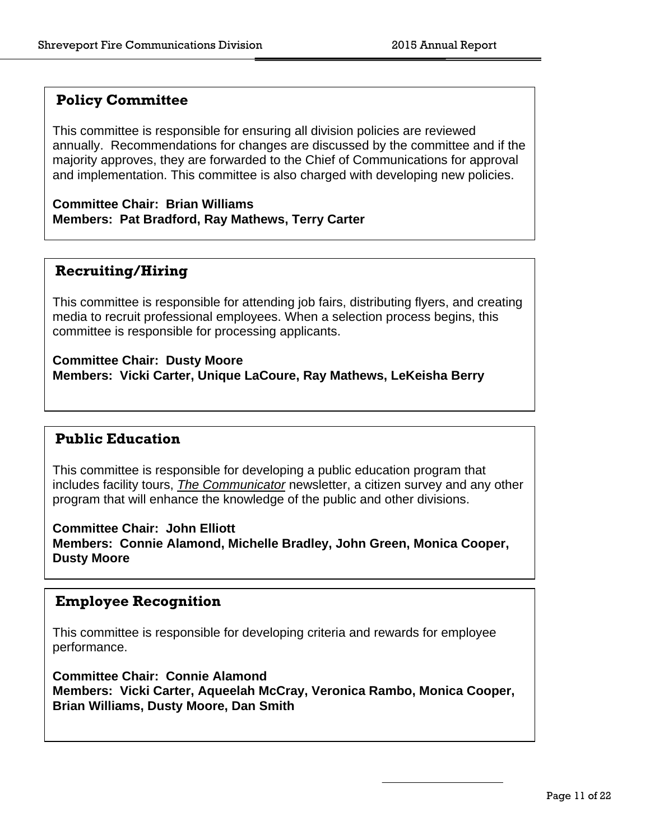#### **Policy Committee**

This committee is responsible for ensuring all division policies are reviewed annually. Recommendations for changes are discussed by the committee and if the majority approves, they are forwarded to the Chief of Communications for approval and implementation. This committee is also charged with developing new policies.

**Committee Chair: Brian Williams Members: Pat Bradford, Ray Mathews, Terry Carter** 

## **Recruiting/Hiring**

This committee is responsible for attending job fairs, distributing flyers, and creating media to recruit professional employees. When a selection process begins, this committee is responsible for processing applicants.

**Committee Chair: Dusty Moore Members: Vicki Carter, Unique LaCoure, Ray Mathews, LeKeisha Berry** 

#### **Public Education**

This committee is responsible for developing a public education program that includes facility tours, *The Communicator* newsletter, a citizen survey and any other program that will enhance the knowledge of the public and other divisions.

**Committee Chair: John Elliott** 

**Members: Connie Alamond, Michelle Bradley, John Green, Monica Cooper, Dusty Moore** 

#### **Employee Recognition**

This committee is responsible for developing criteria and rewards for employee performance.

**Committee Chair: Connie Alamond Members: Vicki Carter, Aqueelah McCray, Veronica Rambo, Monica Cooper, Brian Williams, Dusty Moore, Dan Smith**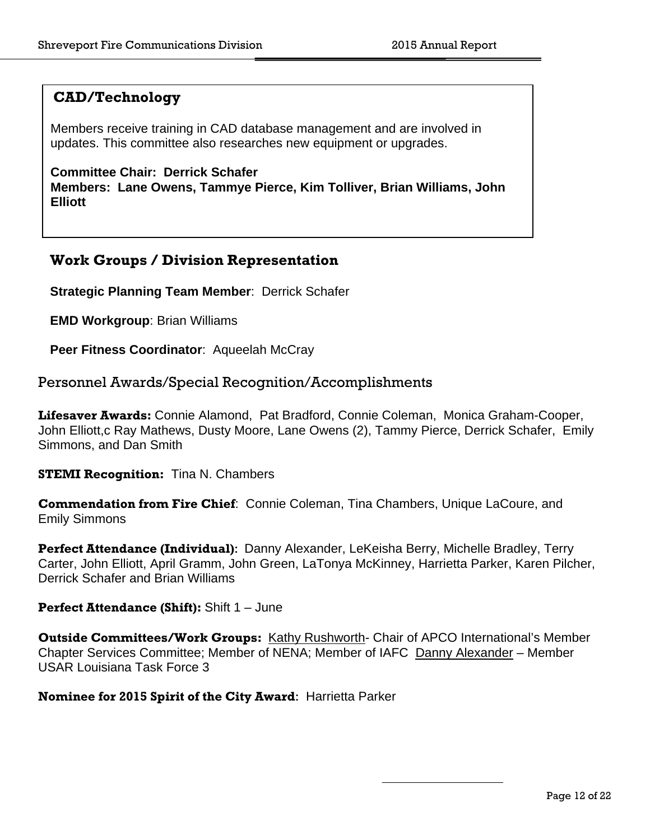#### **CAD/Technology**

Members receive training in CAD database management and are involved in updates. This committee also researches new equipment or upgrades.

**Committee Chair: Derrick Schafer Members: Lane Owens, Tammye Pierce, Kim Tolliver, Brian Williams, John Elliott** 

#### **Work Groups / Division Representation**

**Strategic Planning Team Member**: Derrick Schafer

**EMD Workgroup**: Brian Williams

Peer Fitness Coordinator: Aqueelah McCray

Personnel Awards/Special Recognition/Accomplishments

**Lifesaver Awards:** Connie Alamond, Pat Bradford, Connie Coleman, Monica Graham-Cooper, John Elliott,c Ray Mathews, Dusty Moore, Lane Owens (2), Tammy Pierce, Derrick Schafer, Emily Simmons, and Dan Smith

**STEMI Recognition:** Tina N. Chambers

**Commendation from Fire Chief**: Connie Coleman, Tina Chambers, Unique LaCoure, and Emily Simmons

**Perfect Attendance (Individual)**: Danny Alexander, LeKeisha Berry, Michelle Bradley, Terry Carter, John Elliott, April Gramm, John Green, LaTonya McKinney, Harrietta Parker, Karen Pilcher, Derrick Schafer and Brian Williams

#### **Perfect Attendance (Shift):** Shift 1 – June

**Outside Committees/Work Groups:** Kathy Rushworth- Chair of APCO International's Member Chapter Services Committee; Member of NENA; Member of IAFC Danny Alexander – Member USAR Louisiana Task Force 3

**Nominee for 2015 Spirit of the City Award**: Harrietta Parker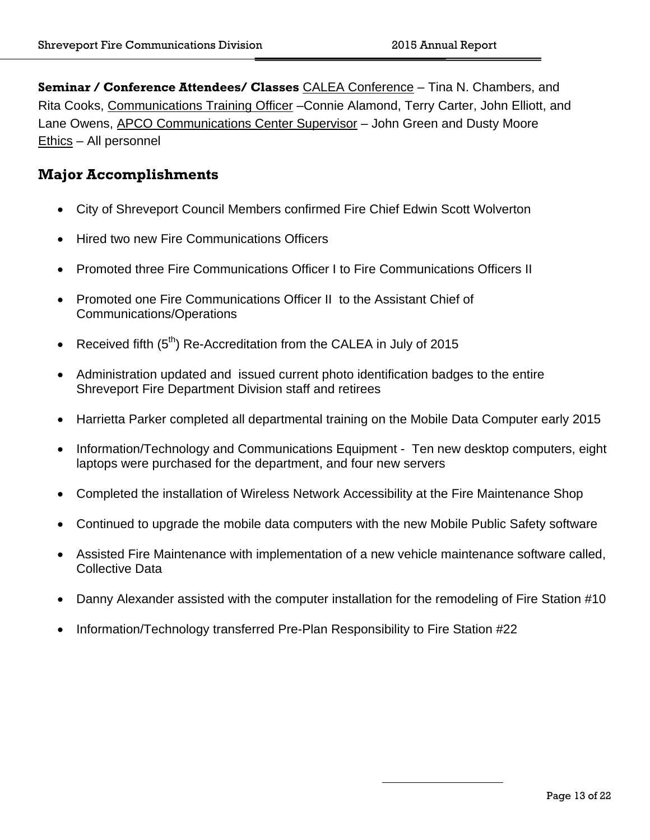**Seminar / Conference Attendees/ Classes** CALEA Conference – Tina N. Chambers, and Rita Cooks, Communications Training Officer –Connie Alamond, Terry Carter, John Elliott, and Lane Owens, APCO Communications Center Supervisor - John Green and Dusty Moore Ethics – All personnel

## **Major Accomplishments**

- City of Shreveport Council Members confirmed Fire Chief Edwin Scott Wolverton
- Hired two new Fire Communications Officers
- Promoted three Fire Communications Officer I to Fire Communications Officers II
- Promoted one Fire Communications Officer II to the Assistant Chief of Communications/Operations
- Received fifth  $(5<sup>th</sup>)$  Re-Accreditation from the CALEA in July of 2015
- Administration updated and issued current photo identification badges to the entire Shreveport Fire Department Division staff and retirees
- Harrietta Parker completed all departmental training on the Mobile Data Computer early 2015
- Information/Technology and Communications Equipment Ten new desktop computers, eight laptops were purchased for the department, and four new servers
- Completed the installation of Wireless Network Accessibility at the Fire Maintenance Shop
- Continued to upgrade the mobile data computers with the new Mobile Public Safety software
- Assisted Fire Maintenance with implementation of a new vehicle maintenance software called, Collective Data
- Danny Alexander assisted with the computer installation for the remodeling of Fire Station #10
- Information/Technology transferred Pre-Plan Responsibility to Fire Station #22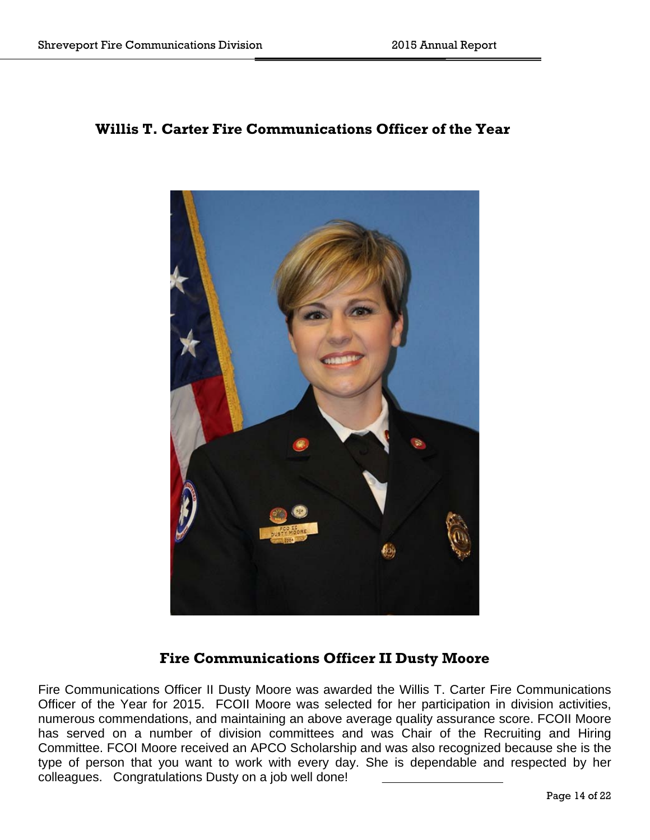## **Willis T. Carter Fire Communications Officer of the Year**



## **Fire Communications Officer II Dusty Moore**

Fire Communications Officer II Dusty Moore was awarded the Willis T. Carter Fire Communications Officer of the Year for 2015. FCOII Moore was selected for her participation in division activities, numerous commendations, and maintaining an above average quality assurance score. FCOII Moore has served on a number of division committees and was Chair of the Recruiting and Hiring Committee. FCOI Moore received an APCO Scholarship and was also recognized because she is the type of person that you want to work with every day. She is dependable and respected by her colleagues. Congratulations Dusty on a job well done!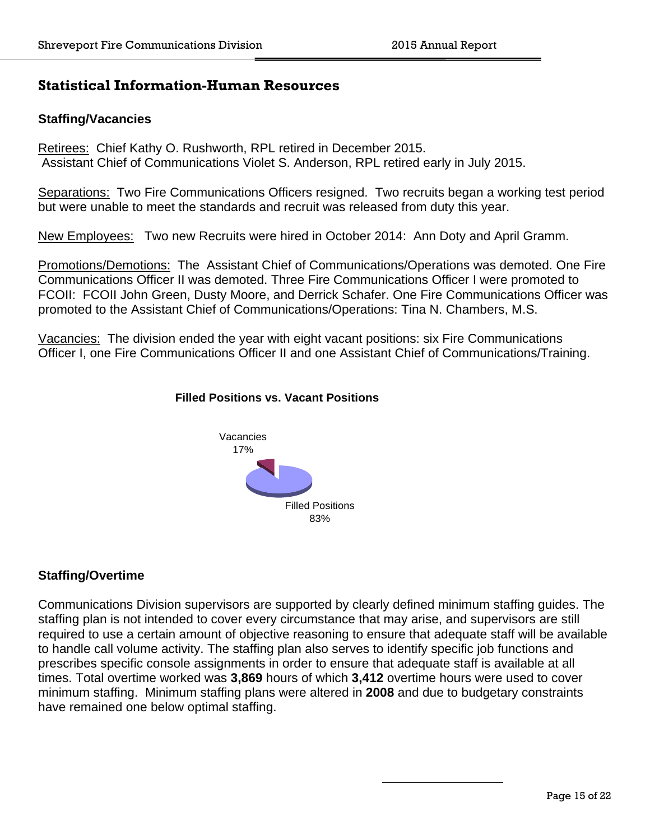## **Statistical Information-Human Resources**

#### **Staffing/Vacancies**

Retirees: Chief Kathy O. Rushworth, RPL retired in December 2015. Assistant Chief of Communications Violet S. Anderson, RPL retired early in July 2015.

Separations: Two Fire Communications Officers resigned. Two recruits began a working test period but were unable to meet the standards and recruit was released from duty this year.

New Employees: Two new Recruits were hired in October 2014: Ann Doty and April Gramm.

Promotions/Demotions: The Assistant Chief of Communications/Operations was demoted. One Fire Communications Officer II was demoted. Three Fire Communications Officer I were promoted to FCOII: FCOII John Green, Dusty Moore, and Derrick Schafer. One Fire Communications Officer was promoted to the Assistant Chief of Communications/Operations: Tina N. Chambers, M.S.

Vacancies: The division ended the year with eight vacant positions: six Fire Communications Officer I, one Fire Communications Officer II and one Assistant Chief of Communications/Training.



#### **Filled Positions vs. Vacant Positions**

#### **Staffing/Overtime**

Communications Division supervisors are supported by clearly defined minimum staffing guides. The staffing plan is not intended to cover every circumstance that may arise, and supervisors are still required to use a certain amount of objective reasoning to ensure that adequate staff will be available to handle call volume activity. The staffing plan also serves to identify specific job functions and prescribes specific console assignments in order to ensure that adequate staff is available at all times. Total overtime worked was **3,869** hours of which **3,412** overtime hours were used to cover minimum staffing. Minimum staffing plans were altered in **2008** and due to budgetary constraints have remained one below optimal staffing.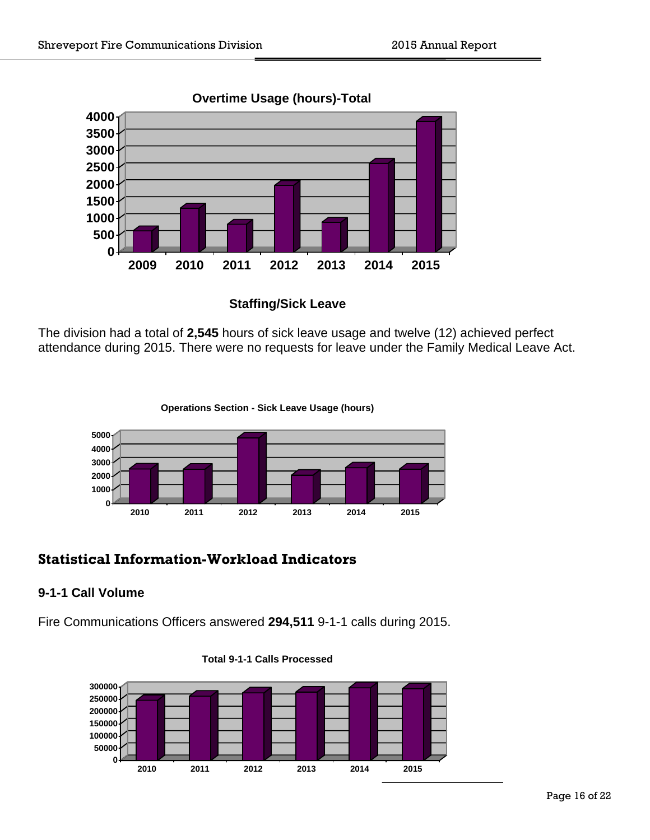

#### **Overtime Usage (hours)-Total**



The division had a total of **2,545** hours of sick leave usage and twelve (12) achieved perfect attendance during 2015. There were no requests for leave under the Family Medical Leave Act.

**Operations Section - Sick Leave Usage (hours)**



# **Statistical Information-Workload Indicators**

#### **9-1-1 Call Volume**

Fire Communications Officers answered **294,511** 9-1-1 calls during 2015.



**Total 9-1-1 Calls Processed**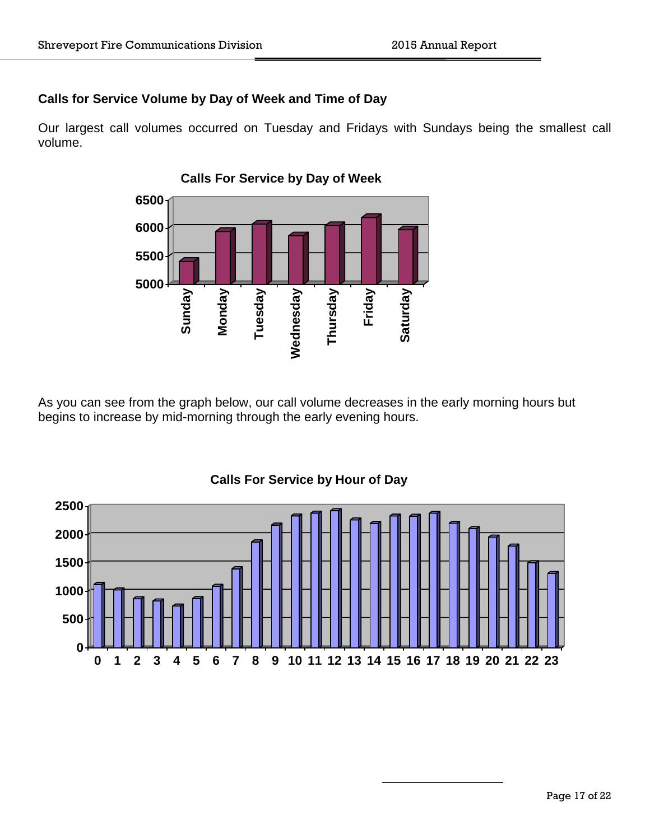#### **Calls for Service Volume by Day of Week and Time of Day**

Our largest call volumes occurred on Tuesday and Fridays with Sundays being the smallest call volume.



As you can see from the graph below, our call volume decreases in the early morning hours but begins to increase by mid-morning through the early evening hours.



#### **Calls For Service by Hour of Day**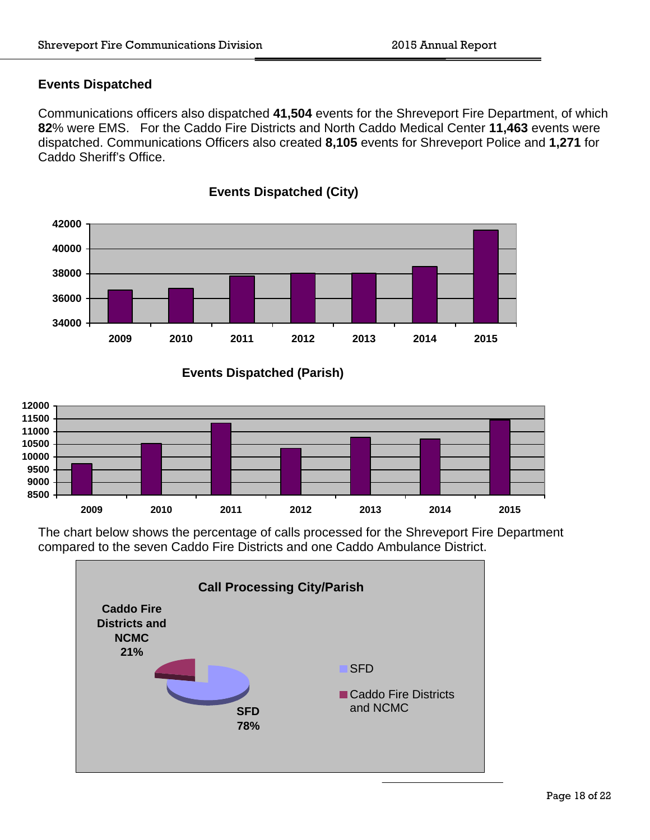#### **Events Dispatched**

Communications officers also dispatched **41,504** events for the Shreveport Fire Department, of which **82**% were EMS. For the Caddo Fire Districts and North Caddo Medical Center **11,463** events were dispatched. Communications Officers also created **8,105** events for Shreveport Police and **1,271** for Caddo Sheriff's Office.



**Events Dispatched (City)**





The chart below shows the percentage of calls processed for the Shreveport Fire Department compared to the seven Caddo Fire Districts and one Caddo Ambulance District.

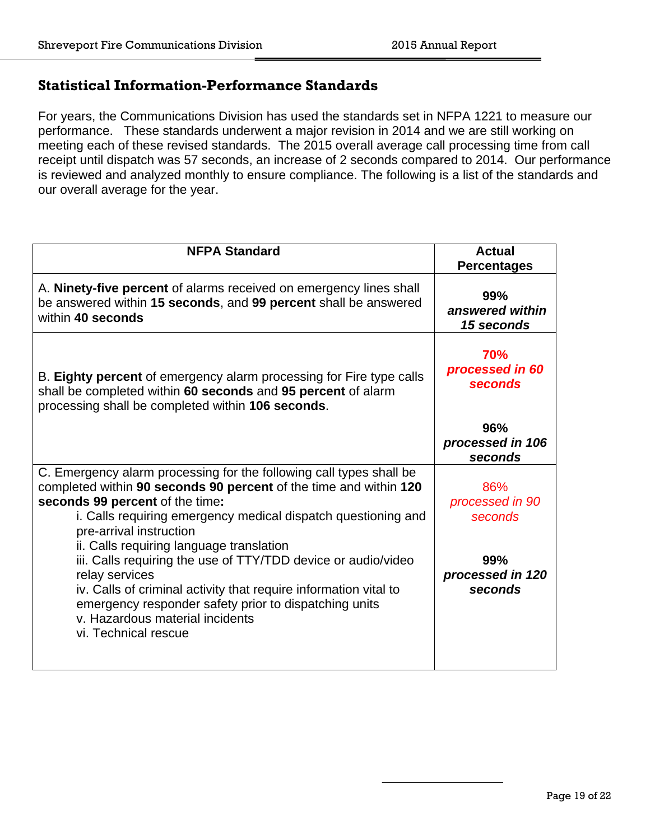## **Statistical Information-Performance Standards**

For years, the Communications Division has used the standards set in NFPA 1221 to measure our performance. These standards underwent a major revision in 2014 and we are still working on meeting each of these revised standards. The 2015 overall average call processing time from call receipt until dispatch was 57 seconds, an increase of 2 seconds compared to 2014. Our performance is reviewed and analyzed monthly to ensure compliance. The following is a list of the standards and our overall average for the year.

| <b>NFPA Standard</b>                                                                                                                                                                                                                                                                                                                                                                                                                                                                                                                                                                           | <b>Actual</b><br><b>Percentages</b>                                     |  |  |
|------------------------------------------------------------------------------------------------------------------------------------------------------------------------------------------------------------------------------------------------------------------------------------------------------------------------------------------------------------------------------------------------------------------------------------------------------------------------------------------------------------------------------------------------------------------------------------------------|-------------------------------------------------------------------------|--|--|
| A. Ninety-five percent of alarms received on emergency lines shall<br>be answered within 15 seconds, and 99 percent shall be answered<br>within 40 seconds                                                                                                                                                                                                                                                                                                                                                                                                                                     | 99%<br>answered within<br>15 seconds                                    |  |  |
| B. Eighty percent of emergency alarm processing for Fire type calls<br>shall be completed within 60 seconds and 95 percent of alarm<br>processing shall be completed within 106 seconds.                                                                                                                                                                                                                                                                                                                                                                                                       | 70%<br>processed in 60<br>seconds                                       |  |  |
|                                                                                                                                                                                                                                                                                                                                                                                                                                                                                                                                                                                                | 96%<br>processed in 106<br>seconds                                      |  |  |
| C. Emergency alarm processing for the following call types shall be<br>completed within 90 seconds 90 percent of the time and within 120<br>seconds 99 percent of the time:<br>i. Calls requiring emergency medical dispatch questioning and<br>pre-arrival instruction<br>ii. Calls requiring language translation<br>iii. Calls requiring the use of TTY/TDD device or audio/video<br>relay services<br>iv. Calls of criminal activity that require information vital to<br>emergency responder safety prior to dispatching units<br>v. Hazardous material incidents<br>vi. Technical rescue | 86%<br>processed in 90<br>seconds<br>99%<br>processed in 120<br>seconds |  |  |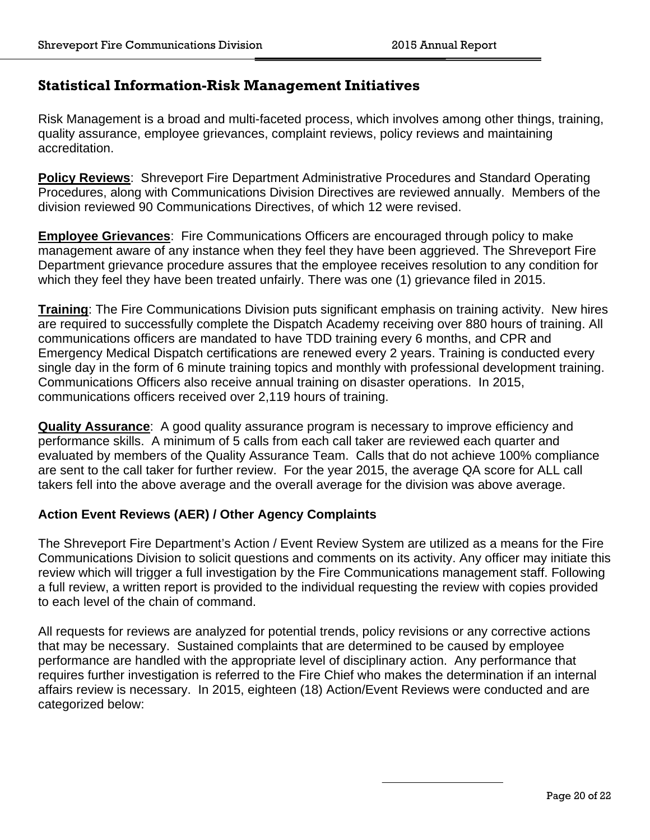## **Statistical Information-Risk Management Initiatives**

Risk Management is a broad and multi-faceted process, which involves among other things, training, quality assurance, employee grievances, complaint reviews, policy reviews and maintaining accreditation.

**Policy Reviews**: Shreveport Fire Department Administrative Procedures and Standard Operating Procedures, along with Communications Division Directives are reviewed annually. Members of the division reviewed 90 Communications Directives, of which 12 were revised.

**Employee Grievances**: Fire Communications Officers are encouraged through policy to make management aware of any instance when they feel they have been aggrieved. The Shreveport Fire Department grievance procedure assures that the employee receives resolution to any condition for which they feel they have been treated unfairly. There was one (1) grievance filed in 2015.

**Training**: The Fire Communications Division puts significant emphasis on training activity. New hires are required to successfully complete the Dispatch Academy receiving over 880 hours of training. All communications officers are mandated to have TDD training every 6 months, and CPR and Emergency Medical Dispatch certifications are renewed every 2 years. Training is conducted every single day in the form of 6 minute training topics and monthly with professional development training. Communications Officers also receive annual training on disaster operations. In 2015, communications officers received over 2,119 hours of training.

**Quality Assurance**: A good quality assurance program is necessary to improve efficiency and performance skills. A minimum of 5 calls from each call taker are reviewed each quarter and evaluated by members of the Quality Assurance Team. Calls that do not achieve 100% compliance are sent to the call taker for further review. For the year 2015, the average QA score for ALL call takers fell into the above average and the overall average for the division was above average.

#### **Action Event Reviews (AER) / Other Agency Complaints**

The Shreveport Fire Department's Action / Event Review System are utilized as a means for the Fire Communications Division to solicit questions and comments on its activity. Any officer may initiate this review which will trigger a full investigation by the Fire Communications management staff. Following a full review, a written report is provided to the individual requesting the review with copies provided to each level of the chain of command.

All requests for reviews are analyzed for potential trends, policy revisions or any corrective actions that may be necessary. Sustained complaints that are determined to be caused by employee performance are handled with the appropriate level of disciplinary action. Any performance that requires further investigation is referred to the Fire Chief who makes the determination if an internal affairs review is necessary. In 2015, eighteen (18) Action/Event Reviews were conducted and are categorized below: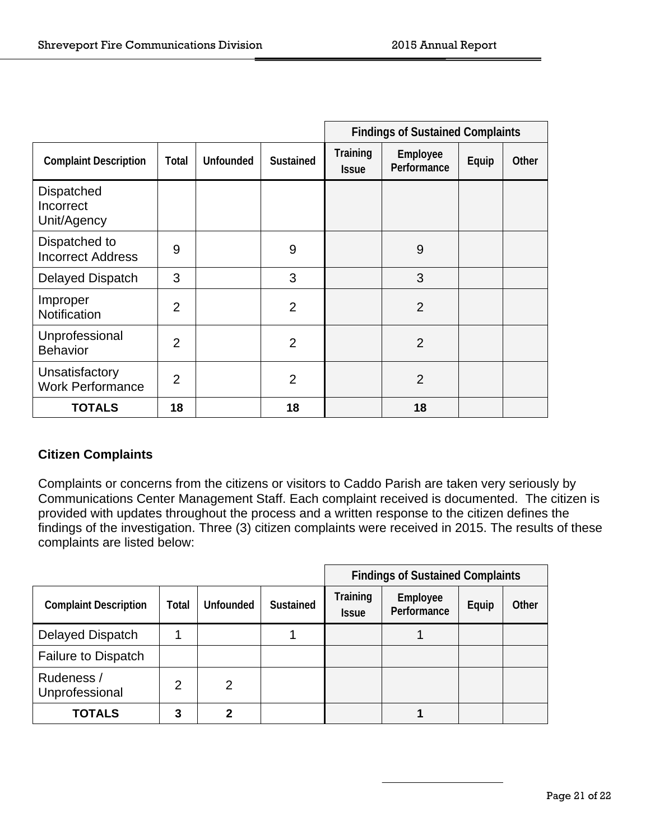|                                               |                |                  |                  | <b>Findings of Sustained Complaints</b> |                         |       |       |
|-----------------------------------------------|----------------|------------------|------------------|-----------------------------------------|-------------------------|-------|-------|
| <b>Complaint Description</b>                  | Total          | <b>Unfounded</b> | <b>Sustained</b> | Training<br><b>Issue</b>                | Employee<br>Performance | Equip | Other |
| <b>Dispatched</b><br>Incorrect<br>Unit/Agency |                |                  |                  |                                         |                         |       |       |
| Dispatched to<br><b>Incorrect Address</b>     | 9              |                  | 9                |                                         | 9                       |       |       |
| <b>Delayed Dispatch</b>                       | 3              |                  | 3                |                                         | 3                       |       |       |
| Improper<br>Notification                      | $\overline{2}$ |                  | $\overline{2}$   |                                         | $\overline{2}$          |       |       |
| Unprofessional<br><b>Behavior</b>             | $\overline{2}$ |                  | $\overline{2}$   |                                         | $\overline{2}$          |       |       |
| Unsatisfactory<br><b>Work Performance</b>     | $\overline{2}$ |                  | $\overline{2}$   |                                         | $\overline{2}$          |       |       |
| <b>TOTALS</b>                                 | 18             |                  | 18               |                                         | 18                      |       |       |

## **Citizen Complaints**

Complaints or concerns from the citizens or visitors to Caddo Parish are taken very seriously by Communications Center Management Staff. Each complaint received is documented. The citizen is provided with updates throughout the process and a written response to the citizen defines the findings of the investigation. Three (3) citizen complaints were received in 2015. The results of these complaints are listed below:

|                              |       |                  |                  | <b>Findings of Sustained Complaints</b> |                         |       |       |
|------------------------------|-------|------------------|------------------|-----------------------------------------|-------------------------|-------|-------|
| <b>Complaint Description</b> | Total | <b>Unfounded</b> | <b>Sustained</b> | Training<br><b>Issue</b>                | Employee<br>Performance | Equip | Other |
| <b>Delayed Dispatch</b>      |       |                  |                  |                                         |                         |       |       |
| <b>Failure to Dispatch</b>   |       |                  |                  |                                         |                         |       |       |
| Rudeness /<br>Unprofessional | 2     | 2                |                  |                                         |                         |       |       |
| <b>TOTALS</b>                | 3     | 2                |                  |                                         |                         |       |       |